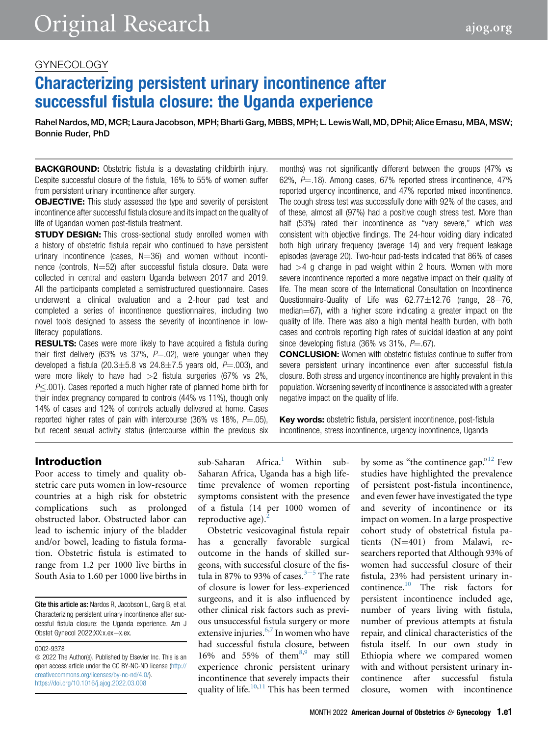## GYNECOLOGY

# Characterizing persistent urinary incontinence after successful fistula closure: the Uganda experience

Rahel Nardos, MD, MCR; Laura Jacobson, MPH; Bharti Garg, MBBS, MPH; L. Lewis Wall, MD, DPhil; Alice Emasu, MBA, MSW; Bonnie Ruder, PhD

**BACKGROUND:** Obstetric fistula is a devastating childbirth injury. Despite successful closure of the fistula, 16% to 55% of women suffer from persistent urinary incontinence after surgery.

**OBJECTIVE:** This study assessed the type and severity of persistent incontinence after successful fistula closure and its impact on the quality of life of Ugandan women post-fistula treatment.

**STUDY DESIGN:** This cross-sectional study enrolled women with a history of obstetric fistula repair who continued to have persistent urinary incontinence (cases,  $N=36$ ) and women without incontinence (controls,  $N=52$ ) after successful fistula closure. Data were collected in central and eastern Uganda between 2017 and 2019. All the participants completed a semistructured questionnaire. Cases underwent a clinical evaluation and a 2-hour pad test and completed a series of incontinence questionnaires, including two novel tools designed to assess the severity of incontinence in lowliteracy populations.

**RESULTS:** Cases were more likely to have acquired a fistula during their first delivery (63% vs 37%,  $P = .02$ ), were younger when they developed a fistula (20.3 $\pm$ 5.8 vs 24.8 $\pm$ 7.5 years old,  $P$ =.003), and were more likely to have had  $>2$  fistula surgeries (67% vs 2%,  $P<.001$ ). Cases reported a much higher rate of planned home birth for their index pregnancy compared to controls (44% vs 11%), though only 14% of cases and 12% of controls actually delivered at home. Cases reported higher rates of pain with intercourse (36% vs 18%,  $P = .05$ ), but recent sexual activity status (intercourse within the previous six months) was not significantly different between the groups (47% vs 62%,  $P = .18$ ). Among cases, 67% reported stress incontinence, 47% reported urgency incontinence, and 47% reported mixed incontinence. The cough stress test was successfully done with 92% of the cases, and of these, almost all (97%) had a positive cough stress test. More than half (53%) rated their incontinence as "very severe," which was consistent with objective findings. The 24-hour voiding diary indicated both high urinary frequency (average 14) and very frequent leakage episodes (average 20). Two-hour pad-tests indicated that 86% of cases had  $>4$  g change in pad weight within 2 hours. Women with more severe incontinence reported a more negative impact on their quality of life. The mean score of the International Consultation on Incontinence Questionnaire-Quality of Life was  $62.77 \pm 12.76$  (range,  $28-76$ , median $=67$ ), with a higher score indicating a greater impact on the quality of life. There was also a high mental health burden, with both cases and controls reporting high rates of suicidal ideation at any point since developing fistula  $(36\% \text{ vs } 31\% \text{.)} P = .67$ .

CONCLUSION: Women with obstetric fistulas continue to suffer from severe persistent urinary incontinence even after successful fistula closure. Both stress and urgency incontinence are highly prevalent in this population. Worsening severity of incontinence is associated with a greater negative impact on the quality of life.

Key words: obstetric fistula, persistent incontinence, post-fistula incontinence, stress incontinence, urgency incontinence, Uganda

## Introduction

Poor access to timely and quality obstetric care puts women in low-resource countries at a high risk for obstetric complications such as prolonged obstructed labor. Obstructed labor can lead to ischemic injury of the bladder and/or bowel, leading to fistula formation. Obstetric fistula is estimated to range from 1.2 per 1000 live births in South Asia to 1.60 per 1000 live births in

Cite this article as: Nardos R, Jacobson L, Garg B, et al. Characterizing persistent urinary incontinence after successful fistula closure: the Uganda experience. Am J Obstet Gynecol 2022;XX:x.ex-x.ex.

0002-9378

 $\odot$  2022 The Author(s). Published by Elsevier Inc. This is an open access article under the CC BY-NC-ND license ([http://](http://creativecommons.org/licenses/by-nc-nd/4.0/) [creativecommons.org/licenses/by-nc-nd/4.0/\)](http://creativecommons.org/licenses/by-nc-nd/4.0/). <https://doi.org/10.1016/j.ajog.2022.03.008>

sub-Saharan Africa.<sup>[1](#page-7-0)</sup> Within sub-Saharan Africa, Uganda has a high lifetime prevalence of women reporting symptoms consistent with the presence of a fistula (14 per 1000 women of reproductive age). $^{2}$  $^{2}$  $^{2}$ 

Obstetric vesicovaginal fistula repair has a generally favorable surgical outcome in the hands of skilled surgeons, with successful closure of the fistula in 87% to 93% of cas[e](#page-7-2)s. $3-5$  The rate of closure is lower for less-experienced surgeons, and it is also influenced by other clinical risk factors such as previous unsuccessful fistula surgery or more extensive injuries.<sup>[6,](#page-7-3)[7](#page-7-4)</sup> In women who have had successful fistula closure, between 16% and 55% of them<sup>[8](#page-7-5),[9](#page-7-6)</sup> may still experience chronic persistent urinary incontinence that severely impacts their quality of life. $10,11$  $10,11$  This has been termed

by some as "the continence gap."<sup>[12](#page-7-9)</sup> Few studies have highlighted the prevalence of persistent post-fistula incontinence, and even fewer have investigated the type and severity of incontinence or its impact on women. In a large prospective cohort study of obstetrical fistula patients  $(N=401)$  from Malawi, researchers reported that Although 93% of women had successful closure of their fistula, 23% had persistent urinary incontinence[.10](#page-7-7) The risk factors for persistent incontinence included age, number of years living with fistula, number of previous attempts at fistula repair, and clinical characteristics of the fistula itself. In our own study in Ethiopia where we compared women with and without persistent urinary incontinence after successful fistula closure, women with incontinence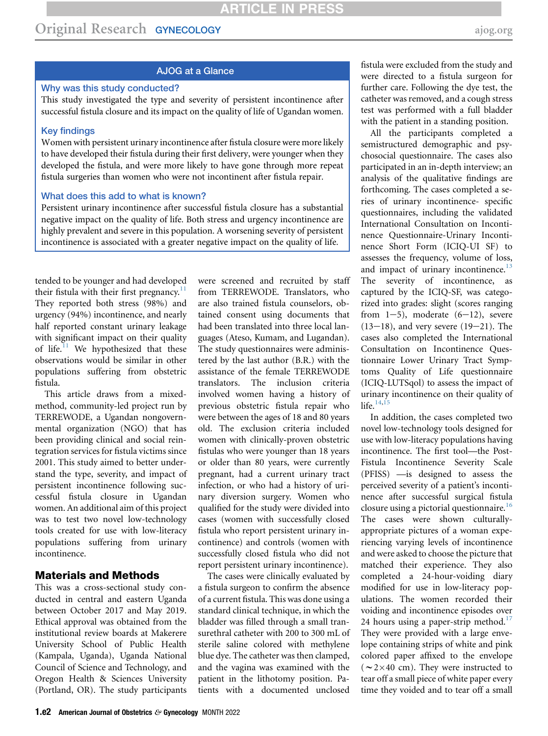# Original Research GYNECOLOGY [ajog.org](http://www.AJOG.org) and all the state of the state of the state of the state of the state of the state of the state of the state of the state of the state of the state of the state of the state of the sta

### AJOG at a Glance

### Why was this study conducted?

This study investigated the type and severity of persistent incontinence after successful fistula closure and its impact on the quality of life of Ugandan women.

#### Key findings

Women with persistent urinary incontinence after fistula closure were more likely to have developed their fistula during their first delivery, were younger when they developed the fistula, and were more likely to have gone through more repeat fistula surgeries than women who were not incontinent after fistula repair.

#### What does this add to what is known?

Persistent urinary incontinence after successful fistula closure has a substantial negative impact on the quality of life. Both stress and urgency incontinence are highly prevalent and severe in this population. A worsening severity of persistent incontinence is associated with a greater negative impact on the quality of life.

tended to be younger and had developed their fistula with their first pregnancy.<sup>[11](#page-7-8)</sup> They reported both stress (98%) and urgency (94%) incontinence, and nearly half reported constant urinary leakage with significant impact on their quality of life. $11$  We hypothesized that these observations would be similar in other populations suffering from obstetric fistula.

This article draws from a mixedmethod, community-led project run by TERREWODE, a Ugandan nongovernmental organization (NGO) that has been providing clinical and social reintegration services for fistula victims since 2001. This study aimed to better understand the type, severity, and impact of persistent incontinence following successful fistula closure in Ugandan women. An additional aim of this project was to test two novel low-technology tools created for use with low-literacy populations suffering from urinary incontinence.

### Materials and Methods

This was a cross-sectional study conducted in central and eastern Uganda between October 2017 and May 2019. Ethical approval was obtained from the institutional review boards at Makerere University School of Public Health (Kampala, Uganda), Uganda National Council of Science and Technology, and Oregon Health & Sciences University (Portland, OR). The study participants were screened and recruited by staff from TERREWODE. Translators, who are also trained fistula counselors, obtained consent using documents that had been translated into three local languages (Ateso, Kumam, and Lugandan). The study questionnaires were administered by the last author (B.R.) with the assistance of the female TERREWODE translators. The inclusion criteria involved women having a history of previous obstetric fistula repair who were between the ages of 18 and 80 years old. The exclusion criteria included women with clinically-proven obstetric fistulas who were younger than 18 years or older than 80 years, were currently pregnant, had a current urinary tract infection, or who had a history of urinary diversion surgery. Women who qualified for the study were divided into cases (women with successfully closed fistula who report persistent urinary incontinence) and controls (women with successfully closed fistula who did not report persistent urinary incontinence).

The cases were clinically evaluated by a fistula surgeon to confirm the absence of a current fistula. This was done using a standard clinical technique, in which the bladder was filled through a small transurethral catheter with 200 to 300 mL of sterile saline colored with methylene blue dye. The catheter was then clamped, and the vagina was examined with the patient in the lithotomy position. Patients with a documented unclosed

fistula were excluded from the study and were directed to a fistula surgeon for further care. Following the dye test, the catheter was removed, and a cough stress test was performed with a full bladder with the patient in a standing position.

All the participants completed a semistructured demographic and psychosocial questionnaire. The cases also participated in an in-depth interview; an analysis of the qualitative findings are forthcoming. The cases completed a series of urinary incontinence- specific questionnaires, including the validated International Consultation on Incontinence Questionnaire-Urinary Incontinence Short Form (ICIQ-UI SF) to assesses the frequency, volume of loss, and impact of urinary incontinence. $^{13}$  $^{13}$  $^{13}$ The severity of incontinence, as captured by the ICIQ-SF, was categorized into grades: slight (scores ranging from  $1-5$ ), moderate  $(6-12)$ , severe  $(13-18)$ , and very severe  $(19-21)$ . The cases also completed the International Consultation on Incontinence Questionnaire Lower Urinary Tract Symptoms Quality of Life questionnaire (ICIQ-LUTSqol) to assess the impact of urinary incontinence on their quality of life.<sup>14[,15](#page-7-12)</sup>

In addition, the cases completed two novel low-technology tools designed for use with low-literacy populations having incontinence. The first tool—the Post-Fistula Incontinence Severity Scale (PFISS) —is designed to assess the perceived severity of a patient's incontinence after successful surgical fistula closure using a pictorial questionnaire.<sup>[16](#page-7-13)</sup> The cases were shown culturallyappropriate pictures of a woman experiencing varying levels of incontinence and were asked to choose the picture that matched their experience. They also completed a 24-hour-voiding diary modified for use in low-literacy populations. The women recorded their voiding and incontinence episodes over 24 hours using a paper-strip method.<sup>[17](#page-7-14)</sup> They were provided with a large envelope containing strips of white and pink colored paper affixed to the envelope ( $\sim$ 2×40 cm). They were instructed to tear off a small piece of white paper every time they voided and to tear off a small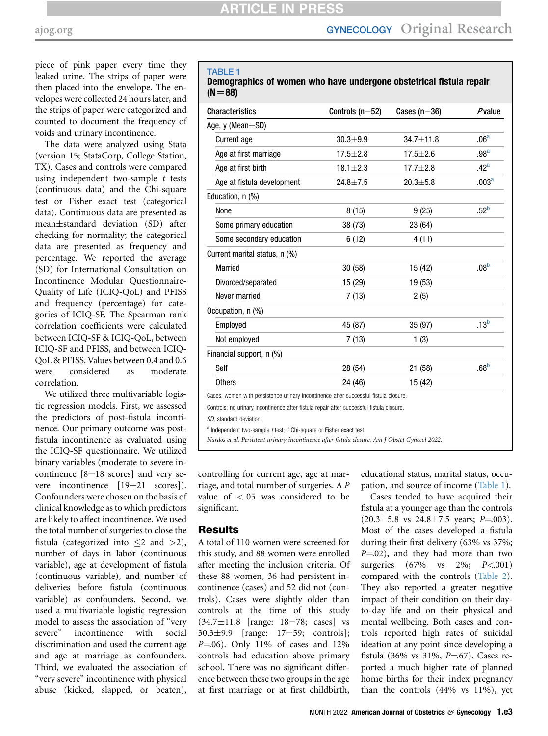piece of pink paper every time they leaked urine. The strips of paper were then placed into the envelope. The envelopes were collected 24 hours later, and the strips of paper were categorized and counted to document the frequency of voids and urinary incontinence.

The data were analyzed using Stata (version 15; StataCorp, College Station, TX). Cases and controls were compared using independent two-sample  $t$  tests (continuous data) and the Chi-square test or Fisher exact test (categorical data). Continuous data are presented as mean-standard deviation (SD) after checking for normality; the categorical data are presented as frequency and percentage. We reported the average (SD) for International Consultation on Incontinence Modular Questionnaire-Quality of Life (ICIQ-QoL) and PFISS and frequency (percentage) for categories of ICIQ-SF. The Spearman rank correlation coefficients were calculated between ICIQ-SF & ICIQ-QoL, between ICIQ-SF and PFISS, and between ICIQ-QoL & PFISS. Values between 0.4 and 0.6 were considered as moderate correlation.

We utilized three multivariable logistic regression models. First, we assessed the predictors of post-fistula incontinence. Our primary outcome was postfistula incontinence as evaluated using the ICIQ-SF questionnaire. We utilized binary variables (moderate to severe incontinence  $[8-18 \text{ scores}]$  and very severe incontinence  $[19-21$  scores]). Confounders were chosen on the basis of clinical knowledge as to which predictors are likely to affect incontinence. We used the total number of surgeries to close the fistula (categorized into  $\leq 2$  and  $>2$ ), number of days in labor (continuous variable), age at development of fistula (continuous variable), and number of deliveries before fistula (continuous variable) as confounders. Second, we used a multivariable logistic regression model to assess the association of "very severe" incontinence with social discrimination and used the current age and age at marriage as confounders. Third, we evaluated the association of "very severe" incontinence with physical abuse (kicked, slapped, or beaten),

#### <span id="page-2-0"></span>TABLE 1

## Demographics of women who have undergone obstetrical fistula repair  $(N=88)$

| $30.3 + 9.9$<br>$17.5 + 2.8$ | $34.7 \pm 11.8$                                                                           | .06 <sup>a</sup>                                                                                                                                                                 |
|------------------------------|-------------------------------------------------------------------------------------------|----------------------------------------------------------------------------------------------------------------------------------------------------------------------------------|
|                              |                                                                                           |                                                                                                                                                                                  |
|                              |                                                                                           |                                                                                                                                                                                  |
|                              | $17.5 + 2.6$                                                                              | .98 <sup>a</sup>                                                                                                                                                                 |
| $18.1 \pm 2.3$               | $17.7 + 2.8$                                                                              | .42 <sup>a</sup>                                                                                                                                                                 |
| $24.8 + 7.5$                 | $20.3 + 5.8$                                                                              | .003 <sup>a</sup>                                                                                                                                                                |
|                              |                                                                                           |                                                                                                                                                                                  |
| 8(15)                        | 9(25)                                                                                     | .52 <sup>b</sup>                                                                                                                                                                 |
| 38 (73)                      | 23 (64)                                                                                   |                                                                                                                                                                                  |
| 6(12)                        | 4 (11)                                                                                    |                                                                                                                                                                                  |
|                              |                                                                                           |                                                                                                                                                                                  |
| 30 (58)                      | 15 (42)                                                                                   | .08 <sup>b</sup>                                                                                                                                                                 |
| 15 (29)                      | 19 (53)                                                                                   |                                                                                                                                                                                  |
| 7(13)                        | 2(5)                                                                                      |                                                                                                                                                                                  |
|                              |                                                                                           |                                                                                                                                                                                  |
| 45 (87)                      | 35 (97)                                                                                   | .13 <sup>b</sup>                                                                                                                                                                 |
| 7(13)                        | 1(3)                                                                                      |                                                                                                                                                                                  |
|                              |                                                                                           |                                                                                                                                                                                  |
| 28 (54)                      | 21 (58)                                                                                   | .68 <sup>b</sup>                                                                                                                                                                 |
| 24 (46)                      | 15 (42)                                                                                   |                                                                                                                                                                                  |
|                              |                                                                                           |                                                                                                                                                                                  |
|                              |                                                                                           |                                                                                                                                                                                  |
|                              |                                                                                           |                                                                                                                                                                                  |
|                              | <sup>a</sup> Independent two-sample t test; <sup>b</sup> Chi-square or Fisher exact test. | Cases: women with persistence urinary incontinence after successful fistula closure.<br>Controls: no urinary incontinence after fistula repair after successful fistula closure. |

<span id="page-2-1"></span>

Nardos et al. Persistent urinary incontinence after fistula closure. Am J Obstet Gynecol 2022.

controlling for current age, age at marriage, and total number of surgeries. A P value of <.05 was considered to be significant.

#### Results

A total of 110 women were screened for this study, and 88 women were enrolled after meeting the inclusion criteria. Of these 88 women, 36 had persistent incontinence (cases) and 52 did not (controls). Cases were slightly older than controls at the time of this study  $(34.7 \pm 11.8)$  [range: 18–78; cases] vs 30.3±9.9 [range: 17–59; controls];  $P = 0.06$ . Only 11% of cases and 12% controls had education above primary school. There was no significant difference between these two groups in the age at first marriage or at first childbirth,

educational status, marital status, occupation, and source of income ([Table 1](#page-2-0)).

Cases tended to have acquired their fistula at a younger age than the controls  $(20.3 \pm 5.8 \text{ vs } 24.8 \pm 7.5 \text{ years}; P = 003).$ Most of the cases developed a fistula during their first delivery (63% vs 37%;  $P = 0.02$ ), and they had more than two surgeries  $(67\%$  vs  $2\%; P<.001$ ) compared with the controls ([Table 2\)](#page-3-0). They also reported a greater negative impact of their condition on their dayto-day life and on their physical and mental wellbeing. Both cases and controls reported high rates of suicidal ideation at any point since developing a fistula (36% vs 31%,  $P = 67$ ). Cases reported a much higher rate of planned home births for their index pregnancy than the controls (44% vs 11%), yet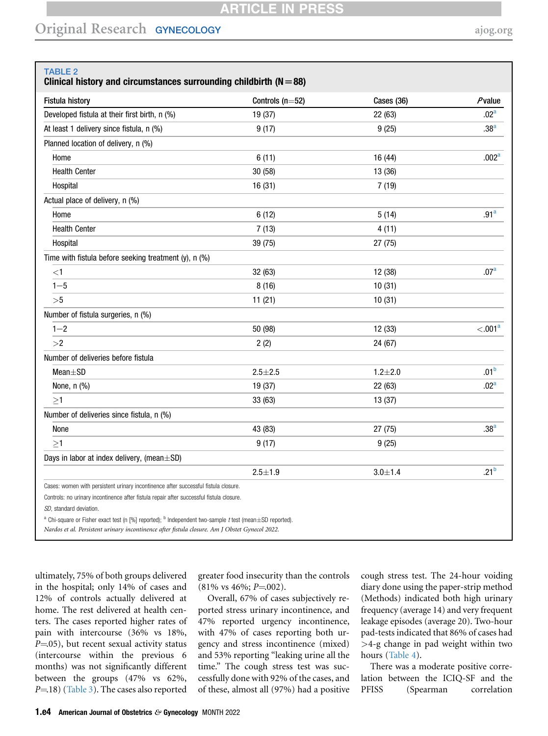# ARTICLE IN PR

# Original Research GYNECOLOGY [ajog.org](http://www.AJOG.org)

<span id="page-3-0"></span>

| TABLE 2 |  |  |
|---------|--|--|
|         |  |  |

Clinical history and circumstances surrounding childbirth ( $N=88$ )

| <b>Fistula history</b>                                                                                                                                                                                                          | Controls ( $n=52$ ) | Cases (36)  | $P$ value           |
|---------------------------------------------------------------------------------------------------------------------------------------------------------------------------------------------------------------------------------|---------------------|-------------|---------------------|
| Developed fistula at their first birth, n (%)                                                                                                                                                                                   | 19 (37)             | 22 (63)     | .02 <sup>a</sup>    |
| At least 1 delivery since fistula, n (%)                                                                                                                                                                                        | 9(17)               | 9(25)       | .38 <sup>a</sup>    |
| Planned location of delivery, n (%)                                                                                                                                                                                             |                     |             |                     |
| Home                                                                                                                                                                                                                            | 6(11)               | 16 (44)     | .002 <sup>a</sup>   |
| <b>Health Center</b>                                                                                                                                                                                                            | 30 (58)             | 13 (36)     |                     |
| Hospital                                                                                                                                                                                                                        | 16(31)              | 7(19)       |                     |
| Actual place of delivery, n (%)                                                                                                                                                                                                 |                     |             |                     |
| Home                                                                                                                                                                                                                            | 6(12)               | 5(14)       | .91 <sup>a</sup>    |
| <b>Health Center</b>                                                                                                                                                                                                            | 7(13)               | 4(11)       |                     |
| Hospital                                                                                                                                                                                                                        | 39 (75)             | 27 (75)     |                     |
| Time with fistula before seeking treatment (y), n (%)                                                                                                                                                                           |                     |             |                     |
| $<$ 1                                                                                                                                                                                                                           | 32 (63)             | 12 (38)     | .07 <sup>a</sup>    |
| $1 - 5$                                                                                                                                                                                                                         | 8(16)               | 10(31)      |                     |
| >5                                                                                                                                                                                                                              | 11(21)              | 10(31)      |                     |
| Number of fistula surgeries, n (%)                                                                                                                                                                                              |                     |             |                     |
| $1 - 2$                                                                                                                                                                                                                         | 50 (98)             | 12 (33)     | < .001 <sup>a</sup> |
| >2                                                                                                                                                                                                                              | 2(2)                | 24 (67)     |                     |
| Number of deliveries before fistula                                                                                                                                                                                             |                     |             |                     |
| $Mean \pm SD$                                                                                                                                                                                                                   | $2.5 + 2.5$         | $1.2 + 2.0$ | .01 <sup>b</sup>    |
| None, $n$ $%$                                                                                                                                                                                                                   | 19 (37)             | 22 (63)     | .02 <sup>a</sup>    |
| $\geq$ 1                                                                                                                                                                                                                        | 33(63)              | 13 (37)     |                     |
| Number of deliveries since fistula, n (%)                                                                                                                                                                                       |                     |             |                     |
| None                                                                                                                                                                                                                            | 43 (83)             | 27 (75)     | .38 <sup>a</sup>    |
| $\geq1$                                                                                                                                                                                                                         | 9(17)               | 9(25)       |                     |
| Days in labor at index delivery, (mean±SD)                                                                                                                                                                                      |                     |             |                     |
|                                                                                                                                                                                                                                 | $2.5 + 1.9$         | $3.0 + 1.4$ | .21 <sup>b</sup>    |
| Cases: women with persistent urinary incontinence after successful fistula closure.                                                                                                                                             |                     |             |                     |
| Controls: no urinary incontinence after fistula repair after successful fistula closure.                                                                                                                                        |                     |             |                     |
| SD, standard deviation.                                                                                                                                                                                                         |                     |             |                     |
| <sup>a</sup> Chi-square or Fisher exact test (n [%] reported); <sup>b</sup> Independent two-sample t test (mean±SD reported).<br>Nardos et al. Persistent urinary incontinence after fistula closure. Am J Obstet Gynecol 2022. |                     |             |                     |

<span id="page-3-1"></span>ultimately, 75% of both groups delivered in the hospital; only 14% of cases and 12% of controls actually delivered at home. The rest delivered at health centers. The cases reported higher rates of pain with intercourse (36% vs 18%,  $P = 05$ ), but recent sexual activity status (intercourse within the previous 6 months) was not significantly different between the groups (47% vs 62%,  $P=18$ ) ([Table 3\)](#page-4-0). The cases also reported

greater food insecurity than the controls  $(81\% \text{ vs } 46\%; P = 002).$ 

Overall, 67% of cases subjectively reported stress urinary incontinence, and 47% reported urgency incontinence, with 47% of cases reporting both urgency and stress incontinence (mixed) and 53% reporting "leaking urine all the time." The cough stress test was successfully done with 92% of the cases, and of these, almost all (97%) had a positive

cough stress test. The 24-hour voiding diary done using the paper-strip method (Methods) indicated both high urinary frequency (average 14) and very frequent leakage episodes (average 20). Two-hour pad-tests indicated that 86% of cases had >4-g change in pad weight within two hours ([Table 4\)](#page-5-0).

There was a moderate positive correlation between the ICIQ-SF and the PFISS (Spearman correlation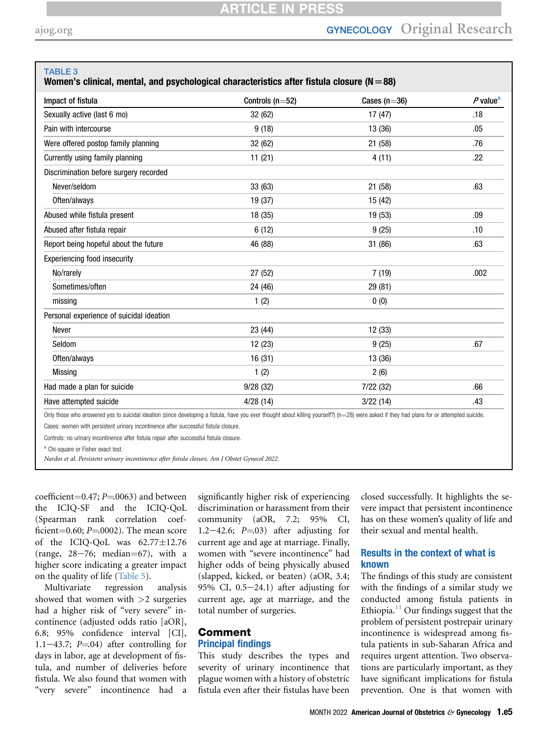#### <span id="page-4-0"></span>TABLE 3

### Women's clinical, mental, and psychological characteristics after fistula closure ( $N=88$ )

| Impact of fistula                        | Controls ( $n=52$ ) | Cases $(n=36)$ | $P$ value <sup>a</sup> |
|------------------------------------------|---------------------|----------------|------------------------|
| Sexually active (last 6 mo)              | 32 (62)             | 17(47)         | .18                    |
| Pain with intercourse                    | 9(18)               | 13 (36)        | .05                    |
| Were offered postop family planning      | 32 (62)             | 21 (58)        | .76                    |
| Currently using family planning          | 11(21)              | 4(11)          | .22                    |
| Discrimination before surgery recorded   |                     |                |                        |
| Never/seldom                             | 33 (63)             | 21 (58)        | .63                    |
| Often/always                             | 19 (37)             | 15 (42)        |                        |
| Abused while fistula present             | 18 (35)             | 19 (53)        | .09                    |
| Abused after fistula repair              | 6(12)               | 9(25)          | .10                    |
| Report being hopeful about the future    | 46 (88)             | 31 (86)        | .63                    |
| Experiencing food insecurity             |                     |                |                        |
| No/rarely                                | 27 (52)             | 7(19)          | .002                   |
| Sometimes/often                          | 24 (46)             | 29 (81)        |                        |
| missing                                  | 1(2)                | 0(0)           |                        |
| Personal experience of suicidal ideation |                     |                |                        |
| Never                                    | 23 (44)             | 12(33)         |                        |
| Seldom                                   | 12(23)              | 9(25)          | .67                    |
| Often/always                             | 16(31)              | 13 (36)        |                        |
| <b>Missing</b>                           | 1(2)                | 2(6)           |                        |
| Had made a plan for suicide              | 9/28(32)            | 7/22(32)       | .66                    |
| Have attempted suicide                   | 4/28(14)            | 3/22(14)       | .43                    |

Only those who answered yes to suicidal ideation (since developing a fistula, have you ever thought about killing yourself?) ( $n=28$ ) were asked if they had plans for or attempted suicide. Cases: women with persistent urinary incontinence after successful fistula closure.

Controls: no urinary incontinence after fistula repair after successful fistula closure.

<span id="page-4-1"></span><sup>a</sup> Chi-square or Fisher exact test.

Nardos et al. Persistent urinary incontinence after fistula closure. Am J Obstet Gynecol 2022.

coefficient=0.47;  $P=0.063$ ) and between the ICIQ-SF and the ICIQ-QoL (Spearman rank correlation coefficient=0.60;  $P = 0.002$ ). The mean score of the ICIQ-QoL was  $62.77 \pm 12.76$ (range,  $28-76$ ; median=67), with a higher score indicating a greater impact on the quality of life [\(Table 5](#page-6-0)).

Multivariate regression analysis showed that women with  $>2$  surgeries had a higher risk of "very severe" incontinence (adjusted odds ratio [aOR], 6.8; 95% confidence interval [CI], 1.1-43.7;  $P = 04$ ) after controlling for days in labor, age at development of fistula, and number of deliveries before fistula. We also found that women with "very severe" incontinence had a

significantly higher risk of experiencing discrimination or harassment from their community (aOR, 7.2; 95% CI, 1.2 $-42.6$ ; P $=$ .03) after adjusting for current age and age at marriage. Finally, women with "severe incontinence" had higher odds of being physically abused (slapped, kicked, or beaten) (aOR, 3.4; 95% CI,  $0.5-24.1$ ) after adjusting for current age, age at marriage, and the total number of surgeries.

## Comment Principal findings

This study describes the types and severity of urinary incontinence that plague women with a history of obstetric fistula even after their fistulas have been

closed successfully. It highlights the severe impact that persistent incontinence has on these women's quality of life and their sexual and mental health.

## Results in the context of what is known

The findings of this study are consistent with the findings of a similar study we conducted among fistula patients in Ethiopia. $^{11}$  $^{11}$  $^{11}$  Our findings suggest that the problem of persistent postrepair urinary incontinence is widespread among fistula patients in sub-Saharan Africa and requires urgent attention. Two observations are particularly important, as they have significant implications for fistula prevention. One is that women with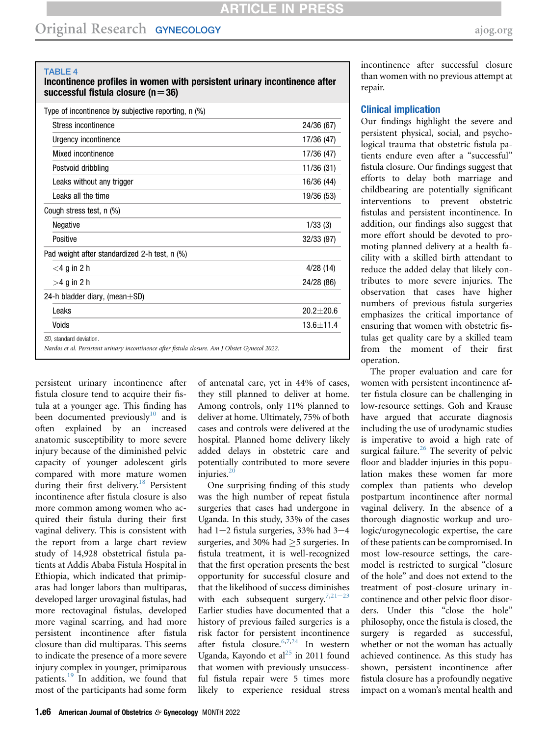<span id="page-5-0"></span>TABLE 4

#### Incontinence profiles in women with persistent urinary incontinence after successful fistula closure ( $n=36$ )

| Stress incontinence                           | 24/36 (67)    |
|-----------------------------------------------|---------------|
| Urgency incontinence                          | 17/36 (47)    |
| Mixed incontinence                            | 17/36 (47)    |
| Postvoid dribbling                            | 11/36 (31)    |
| Leaks without any trigger                     | 16/36 (44)    |
| Leaks all the time                            | 19/36 (53)    |
| Cough stress test, n (%)                      |               |
| <b>Negative</b>                               | 1/33(3)       |
| Positive                                      | 32/33 (97)    |
| Pad weight after standardized 2-h test, n (%) |               |
| $<$ 4 g in 2 h                                | 4/28(14)      |
| $>4$ g in 2 h                                 | 24/28 (86)    |
| 24-h bladder diary, (mean $\pm$ SD)           |               |
| Leaks                                         | $20.2 + 20.6$ |
| Voids                                         | $13.6 + 11.4$ |

persistent urinary incontinence after fistula closure tend to acquire their fistula at a younger age. This finding has been documented previously<sup>[10](#page-7-7)</sup> and is often explained by an increased anatomic susceptibility to more severe injury because of the diminished pelvic capacity of younger adolescent girls compared with more mature women during their first delivery.<sup>[18](#page-7-15)</sup> Persistent incontinence after fistula closure is also more common among women who acquired their fistula during their first vaginal delivery. This is consistent with the report from a large chart review study of 14,928 obstetrical fistula patients at Addis Ababa Fistula Hospital in Ethiopia, which indicated that primiparas had longer labors than multiparas, developed larger urovaginal fistulas, had more rectovaginal fistulas, developed more vaginal scarring, and had more persistent incontinence after fistula closure than did multiparas. This seems to indicate the presence of a more severe injury complex in younger, primiparous patients.<sup>[19](#page-7-16)</sup> In addition, we found that most of the participants had some form of antenatal care, yet in 44% of cases, they still planned to deliver at home. Among controls, only 11% planned to deliver at home. Ultimately, 75% of both cases and controls were delivered at the hospital. Planned home delivery likely added delays in obstetric care and potentially contributed to more severe injuries.<sup>[20](#page-7-17)</sup>

One surprising finding of this study was the high number of repeat fistula surgeries that cases had undergone in Uganda. In this study, 33% of the cases had  $1-2$  fistula surgeries, 33% had  $3-4$ surgeries, and 30% had  $\geq$ 5 surgeries. In fistula treatment, it is well-recognized that the first operation presents the best opportunity for successful closure and that the likelihood of success dimi[nishes](#page-7-18) with each subsequent surgery.<sup>[7,](#page-7-4)21-23</sup> Earlier studies have documented that a history of previous failed surgeries is a risk factor for persistent incontinence after fistula closure.<sup>[6](#page-7-3)[,7](#page-7-4)[,24](#page-7-19)</sup> In western Uganda, Kayondo et al $^{25}$  $^{25}$  $^{25}$  in 2011 found that women with previously unsuccessful fistula repair were 5 times more likely to experience residual stress incontinence after successful closure than women with no previous attempt at repair.

### Clinical implication

Our findings highlight the severe and persistent physical, social, and psychological trauma that obstetric fistula patients endure even after a "successful" fistula closure. Our findings suggest that efforts to delay both marriage and childbearing are potentially significant interventions to prevent obstetric fistulas and persistent incontinence. In addition, our findings also suggest that more effort should be devoted to promoting planned delivery at a health facility with a skilled birth attendant to reduce the added delay that likely contributes to more severe injuries. The observation that cases have higher numbers of previous fistula surgeries emphasizes the critical importance of ensuring that women with obstetric fistulas get quality care by a skilled team from the moment of their first operation.

The proper evaluation and care for women with persistent incontinence after fistula closure can be challenging in low-resource settings. Goh and Krause have argued that accurate diagnosis including the use of urodynamic studies is imperative to avoid a high rate of surgical failure.<sup>26</sup> The severity of pelvic floor and bladder injuries in this population makes these women far more complex than patients who develop postpartum incontinence after normal vaginal delivery. In the absence of a thorough diagnostic workup and urologic/urogynecologic expertise, the care of these patients can be compromised. In most low-resource settings, the caremodel is restricted to surgical "closure of the hole" and does not extend to the treatment of post-closure urinary incontinence and other pelvic floor disorders. Under this "close the hole" philosophy, once the fistula is closed, the surgery is regarded as successful, whether or not the woman has actually achieved continence. As this study has shown, persistent incontinence after fistula closure has a profoundly negative impact on a woman's mental health and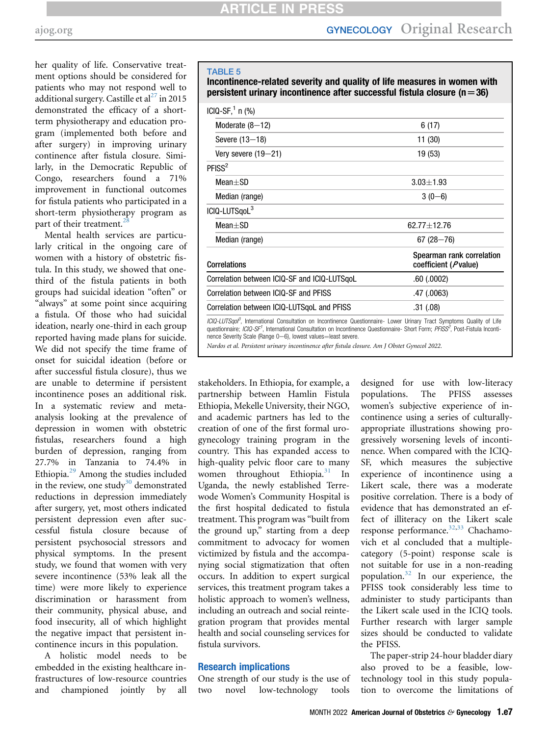her quality of life. Conservative treatment options should be considered for patients who may not respond well to additional surgery. Castille et al<sup>[27](#page-7-22)</sup> in 2015 demonstrated the efficacy of a shortterm physiotherapy and education program (implemented both before and after surgery) in improving urinary continence after fistula closure. Similarly, in the Democratic Republic of Congo, researchers found a 71% improvement in functional outcomes for fistula patients who participated in a short-term physiotherapy program as part of their treatment.<sup>2</sup>

Mental health services are particularly critical in the ongoing care of women with a history of obstetric fistula. In this study, we showed that onethird of the fistula patients in both groups had suicidal ideation "often" or "always" at some point since acquiring a fistula. Of those who had suicidal ideation, nearly one-third in each group reported having made plans for suicide. We did not specify the time frame of onset for suicidal ideation (before or after successful fistula closure), thus we are unable to determine if persistent incontinence poses an additional risk. In a systematic review and metaanalysis looking at the prevalence of depression in women with obstetric fistulas, researchers found a high burden of depression, ranging from 27.7% in Tanzania to 74.4% in Ethiopia.[29](#page-7-24) Among the studies included in the review, one study $30$  demonstrated reductions in depression immediately after surgery, yet, most others indicated persistent depression even after successful fistula closure because of persistent psychosocial stressors and physical symptoms. In the present study, we found that women with very severe incontinence (53% leak all the time) were more likely to experience discrimination or harassment from their community, physical abuse, and food insecurity, all of which highlight the negative impact that persistent incontinence incurs in this population.

A holistic model needs to be embedded in the existing healthcare infrastructures of low-resource countries and championed jointly by all

#### <span id="page-6-0"></span>TABLE 5

Incontinence-related severity and quality of life measures in women with persistent urinary incontinence after successful fistula closure ( $n=36$ )

| $ICIQ-SF11 n (%)$                                                                                                                                                                                                                                                                            |                                                            |
|----------------------------------------------------------------------------------------------------------------------------------------------------------------------------------------------------------------------------------------------------------------------------------------------|------------------------------------------------------------|
| Moderate $(8-12)$                                                                                                                                                                                                                                                                            | 6(17)                                                      |
| Severe (13-18)                                                                                                                                                                                                                                                                               | 11 (30)                                                    |
| Very severe $(19-21)$                                                                                                                                                                                                                                                                        | 19 (53)                                                    |
| PFISS <sup>2</sup>                                                                                                                                                                                                                                                                           |                                                            |
| $Mean + SD$                                                                                                                                                                                                                                                                                  | $3.03 + 1.93$                                              |
| Median (range)                                                                                                                                                                                                                                                                               | $3(0-6)$                                                   |
| ICIQ-LUTSqoL <sup>3</sup>                                                                                                                                                                                                                                                                    |                                                            |
| $Mean + SD$                                                                                                                                                                                                                                                                                  | $62.77 + 12.76$                                            |
| Median (range)                                                                                                                                                                                                                                                                               | $67(28 - 76)$                                              |
| <b>Correlations</b>                                                                                                                                                                                                                                                                          | Spearman rank correlation<br>coefficient ( <i>P</i> value) |
| Correlation between ICIQ-SF and ICIQ-LUTSgoL                                                                                                                                                                                                                                                 | .60(0.0002)                                                |
| Correlation between ICIO-SF and PFISS                                                                                                                                                                                                                                                        | .47 (.0063)                                                |
| Correlation between ICIQ-LUTSgoL and PFISS                                                                                                                                                                                                                                                   | .31(.08)                                                   |
| ICIQ-LUTSqol <sup>3</sup> , International Consultation on Incontinence Questionnaire- Lower Urinary Tract Symptoms Quality of Life<br>questionnaire; ICIQ-SF <sup>1</sup> , International Consultation on Incontinence Questionnaire- Short Form; PFISS <sup>2</sup> , Post-Fistula Inconti- |                                                            |

nence Severity Scale (Range 0-6), lowest values=least severe.

Nardos et al. Persistent urinary incontinence after fistula closure. Am J Obstet Gynecol 2022.

stakeholders. In Ethiopia, for example, a partnership between Hamlin Fistula Ethiopia, Mekelle University, their NGO, and academic partners has led to the creation of one of the first formal urogynecology training program in the country. This has expanded access to high-quality pelvic floor care to many women throughout Ethiopia. $31$  In Uganda, the newly established Terrewode Women's Community Hospital is the first hospital dedicated to fistula treatment. This program was "built from the ground up," starting from a deep commitment to advocacy for women victimized by fistula and the accompanying social stigmatization that often occurs. In addition to expert surgical services, this treatment program takes a holistic approach to women's wellness, including an outreach and social reintegration program that provides mental health and social counseling services for fistula survivors.

#### Research implications

One strength of our study is the use of two novel low-technology tools

designed for use with low-literacy populations. The PFISS assesses women's subjective experience of incontinence using a series of culturallyappropriate illustrations showing progressively worsening levels of incontinence. When compared with the ICIQ-SF, which measures the subjective experience of incontinence using a Likert scale, there was a moderate positive correlation. There is a body of evidence that has demonstrated an effect of illiteracy on the Likert scale response performance. $32,33$  $32,33$  Chachamovich et al concluded that a multiplecategory (5-point) response scale is not suitable for use in a non-reading population.[32](#page-8-2) In our experience, the PFISS took considerably less time to administer to study participants than the Likert scale used in the ICIQ tools. Further research with larger sample sizes should be conducted to validate the PFISS.

The paper-strip 24-hour bladder diary also proved to be a feasible, lowtechnology tool in this study population to overcome the limitations of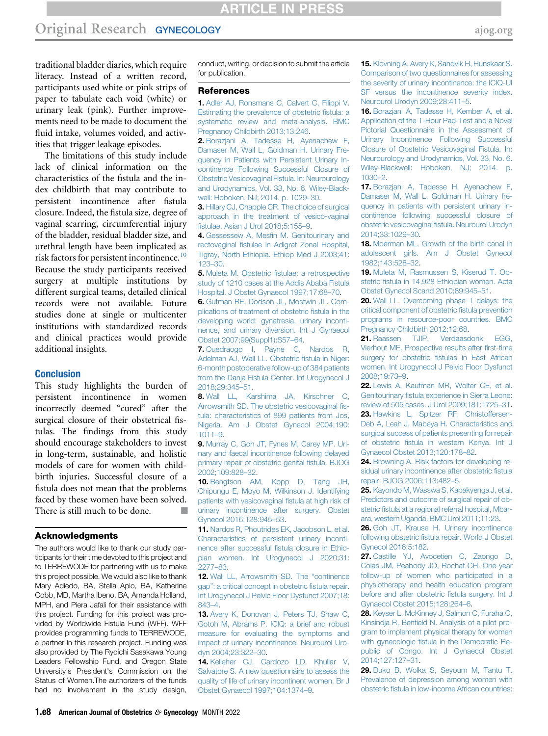## **ARTICLE IN PRESS**

## Original Research GYNECOLOGY [ajog.org](http://www.AJOG.org) ajog.org

traditional bladder diaries, which require literacy. Instead of a written record, participants used white or pink strips of paper to tabulate each void (white) or urinary leak (pink). Further improvements need to be made to document the fluid intake, volumes voided, and activities that trigger leakage episodes.

The limitations of this study include lack of clinical information on the characteristics of the fistula and the index childbirth that may contribute to persistent incontinence after fistula closure. Indeed, the fistula size, degree of vaginal scarring, circumferential injury of the bladder, residual bladder size, and urethral length have been implicated as risk factors for persistent incontinence.<sup>10</sup> Because the study participants received surgery at multiple institutions by different surgical teams, detailed clinical records were not available. Future studies done at single or multicenter institutions with standardized records and clinical practices would provide additional insights.

#### Conclusion

This study highlights the burden of persistent incontinence in women incorrectly deemed "cured" after the surgical closure of their obstetrical fistulas. The findings from this study should encourage stakeholders to invest in long-term, sustainable, and holistic models of care for women with childbirth injuries. Successful closure of a fistula does not mean that the problems faced by these women have been solved. There is still much to be done.

#### Acknowledgments

The authors would like to thank our study participants for their time devoted to this project and to TERREWODE for partnering with us to make this project possible. We would also like to thank Mary Adiedo, BA, Stella Apio, BA, Katherine Cobb, MD, Martha Ibeno, BA, Amanda Holland, MPH, and Piera Jafali for their assistance with this project. Funding for this project was provided by Worldwide Fistula Fund (WFF). WFF provides programming funds to TERREWODE, a partner in this research project. Funding was also provided by The Ryoichi Sasakawa Young Leaders Fellowship Fund, and Oregon State University's President's Commission on the Status of Women.The authorizers of the funds had no involvement in the study design,

conduct, writing, or decision to submit the article for publication.

#### References

<span id="page-7-0"></span>1. [Adler AJ, Ronsmans C, Calvert C, Filippi V.](http://refhub.elsevier.com/S0002-9378(22)00178-8/sref1) [Estimating the prevalence of obstetric](http://refhub.elsevier.com/S0002-9378(22)00178-8/sref1) fistula: a [systematic review and meta-analysis. BMC](http://refhub.elsevier.com/S0002-9378(22)00178-8/sref1) [Pregnancy Childbirth 2013;13:246.](http://refhub.elsevier.com/S0002-9378(22)00178-8/sref1)

<span id="page-7-1"></span>2. [Borazjani A, Tadesse H, Ayenachew F,](http://refhub.elsevier.com/S0002-9378(22)00178-8/sref2) [Damaser M, Wall L, Goldman H. Urinary Fre](http://refhub.elsevier.com/S0002-9378(22)00178-8/sref2)[quency in Patients with Persistent Urinary In](http://refhub.elsevier.com/S0002-9378(22)00178-8/sref2)[continence Following Successful Closure of](http://refhub.elsevier.com/S0002-9378(22)00178-8/sref2) [Obstetric Vesicovaginal Fistula. In: Neurourology](http://refhub.elsevier.com/S0002-9378(22)00178-8/sref2) [and Urodynamics, Vol. 33, No. 6. Wiley-Black](http://refhub.elsevier.com/S0002-9378(22)00178-8/sref2)[well: Hoboken, NJ; 2014. p. 1029](http://refhub.elsevier.com/S0002-9378(22)00178-8/sref2)–30.

<span id="page-7-2"></span>3. [Hillary CJ, Chapple CR. The choice of surgical](http://refhub.elsevier.com/S0002-9378(22)00178-8/sref3) [approach in the treatment of vesico-vaginal](http://refhub.elsevier.com/S0002-9378(22)00178-8/sref3) fi[stulae. Asian J Urol 2018;5:155](http://refhub.elsevier.com/S0002-9378(22)00178-8/sref3)–9.

4. Gessessew A, Mesfi[n M. Genitourinary and](http://refhub.elsevier.com/S0002-9378(22)00178-8/sref4) rectovaginal fi[stulae in Adigrat Zonal Hospital,](http://refhub.elsevier.com/S0002-9378(22)00178-8/sref4) [Tigray, North Ethiopia. Ethiop Med J 2003;41:](http://refhub.elsevier.com/S0002-9378(22)00178-8/sref4) [123](http://refhub.elsevier.com/S0002-9378(22)00178-8/sref4)–30.

5. Muleta M. Obstetric fi[stulae: a retrospective](http://refhub.elsevier.com/S0002-9378(22)00178-8/sref5) [study of 1210 cases at the Addis Ababa Fistula](http://refhub.elsevier.com/S0002-9378(22)00178-8/sref5) [Hospital. J Obstet Gynaecol 1997;17:68](http://refhub.elsevier.com/S0002-9378(22)00178-8/sref5)–70.

<span id="page-7-3"></span>6. [Gutman RE, Dodson JL, Mostwin JL. Com](http://refhub.elsevier.com/S0002-9378(22)00178-8/sref6)[plications of treatment of obstetric](http://refhub.elsevier.com/S0002-9378(22)00178-8/sref6) fistula in the [developing world: gynatresia, urinary inconti](http://refhub.elsevier.com/S0002-9378(22)00178-8/sref6)[nence, and urinary diversion. Int J Gynaecol](http://refhub.elsevier.com/S0002-9378(22)00178-8/sref6) [Obstet 2007;99\(Suppl1\):S57](http://refhub.elsevier.com/S0002-9378(22)00178-8/sref6)–64.

<span id="page-7-4"></span>7. [Ouedraogo I, Payne C, Nardos R,](http://refhub.elsevier.com/S0002-9378(22)00178-8/sref7) [Adelman AJ, Wall LL. Obstetric](http://refhub.elsevier.com/S0002-9378(22)00178-8/sref7) fistula in Niger: [6-month postoperative follow-up of 384 patients](http://refhub.elsevier.com/S0002-9378(22)00178-8/sref7) [from the Danja Fistula Center. Int Urogynecol J](http://refhub.elsevier.com/S0002-9378(22)00178-8/sref7) [2018;29:345](http://refhub.elsevier.com/S0002-9378(22)00178-8/sref7)–51.

<span id="page-7-5"></span>8. [Wall LL, Karshima JA, Kirschner C,](http://refhub.elsevier.com/S0002-9378(22)00178-8/sref8) [Arrowsmith SD. The obstetric vesicovaginal](http://refhub.elsevier.com/S0002-9378(22)00178-8/sref8) fis[tula: characteristics of 899 patients from Jos,](http://refhub.elsevier.com/S0002-9378(22)00178-8/sref8) [Nigeria. Am J Obstet Gynecol 2004;190:](http://refhub.elsevier.com/S0002-9378(22)00178-8/sref8) [1011](http://refhub.elsevier.com/S0002-9378(22)00178-8/sref8)–9.

<span id="page-7-6"></span>9. [Murray C, Goh JT, Fynes M, Carey MP. Uri](http://refhub.elsevier.com/S0002-9378(22)00178-8/sref9)[nary and faecal incontinence following delayed](http://refhub.elsevier.com/S0002-9378(22)00178-8/sref9) [primary repair of obstetric genital](http://refhub.elsevier.com/S0002-9378(22)00178-8/sref9) fistula. BJOG [2002;109:828](http://refhub.elsevier.com/S0002-9378(22)00178-8/sref9)–32.

<span id="page-7-7"></span>10. [Bengtson AM, Kopp D, Tang JH,](http://refhub.elsevier.com/S0002-9378(22)00178-8/sref10) [Chipungu E, Moyo M, Wilkinson J. Identifying](http://refhub.elsevier.com/S0002-9378(22)00178-8/sref10) [patients with vesicovaginal](http://refhub.elsevier.com/S0002-9378(22)00178-8/sref10) fistula at high risk of [urinary incontinence after surgery. Obstet](http://refhub.elsevier.com/S0002-9378(22)00178-8/sref10) [Gynecol 2016;128:945](http://refhub.elsevier.com/S0002-9378(22)00178-8/sref10)–53.

<span id="page-7-8"></span>11. [Nardos R, Phoutrides EK, Jacobson L, et al.](http://refhub.elsevier.com/S0002-9378(22)00178-8/sref11) [Characteristics of persistent urinary inconti](http://refhub.elsevier.com/S0002-9378(22)00178-8/sref11)[nence after successful](http://refhub.elsevier.com/S0002-9378(22)00178-8/sref11) fistula closure in Ethio[pian women. Int Urogynecol J 2020;31:](http://refhub.elsevier.com/S0002-9378(22)00178-8/sref11) [2277](http://refhub.elsevier.com/S0002-9378(22)00178-8/sref11)–83.

<span id="page-7-9"></span>12. [Wall LL, Arrowsmith SD. The](http://refhub.elsevier.com/S0002-9378(22)00178-8/sref12) "continence gap"[: a critical concept in obstetric](http://refhub.elsevier.com/S0002-9378(22)00178-8/sref12) fistula repair. [Int Urogynecol J Pelvic Floor Dysfunct 2007;18:](http://refhub.elsevier.com/S0002-9378(22)00178-8/sref12) [843](http://refhub.elsevier.com/S0002-9378(22)00178-8/sref12)–4.

<span id="page-7-10"></span>13. [Avery K, Donovan J, Peters TJ, Shaw C,](http://refhub.elsevier.com/S0002-9378(22)00178-8/sref13) [Gotoh M, Abrams P. ICIQ: a brief and robust](http://refhub.elsevier.com/S0002-9378(22)00178-8/sref13) [measure for evaluating the symptoms and](http://refhub.elsevier.com/S0002-9378(22)00178-8/sref13) [impact of urinary incontinence. Neurourol Uro](http://refhub.elsevier.com/S0002-9378(22)00178-8/sref13)[dyn 2004;23:322](http://refhub.elsevier.com/S0002-9378(22)00178-8/sref13)–30.

<span id="page-7-11"></span>14. [Kelleher CJ, Cardozo LD, Khullar V,](http://refhub.elsevier.com/S0002-9378(22)00178-8/sref14) [Salvatore S. A new questionnaire to assess the](http://refhub.elsevier.com/S0002-9378(22)00178-8/sref14) [quality of life of urinary incontinent women. Br J](http://refhub.elsevier.com/S0002-9378(22)00178-8/sref14) [Obstet Gynaecol 1997;104:1374](http://refhub.elsevier.com/S0002-9378(22)00178-8/sref14)–9.

<span id="page-7-12"></span>15. [Klovning A, Avery K, Sandvik H, Hunskaar S.](http://refhub.elsevier.com/S0002-9378(22)00178-8/sref15) [Comparison of two questionnaires for assessing](http://refhub.elsevier.com/S0002-9378(22)00178-8/sref15) [the severity of urinary incontinence: the ICIQ-UI](http://refhub.elsevier.com/S0002-9378(22)00178-8/sref15) [SF versus the incontinence severity index.](http://refhub.elsevier.com/S0002-9378(22)00178-8/sref15) [Neurourol Urodyn 2009;28:411](http://refhub.elsevier.com/S0002-9378(22)00178-8/sref15)–5.

<span id="page-7-13"></span>16. [Borazjani A, Tadesse H, Kember A, et al.](http://refhub.elsevier.com/S0002-9378(22)00178-8/sref16) [Application of the 1-Hour Pad-Test and a Novel](http://refhub.elsevier.com/S0002-9378(22)00178-8/sref16) [Pictorial Questionnaire in the Assessment of](http://refhub.elsevier.com/S0002-9378(22)00178-8/sref16) [Urinary Incontinence Following Successful](http://refhub.elsevier.com/S0002-9378(22)00178-8/sref16) [Closure of Obstetric Vesicovaginal Fistula. In:](http://refhub.elsevier.com/S0002-9378(22)00178-8/sref16) [Neurourology and Urodynamics, Vol. 33, No. 6.](http://refhub.elsevier.com/S0002-9378(22)00178-8/sref16) [Wiley-Blackwell: Hoboken, NJ; 2014. p.](http://refhub.elsevier.com/S0002-9378(22)00178-8/sref16) [1030](http://refhub.elsevier.com/S0002-9378(22)00178-8/sref16)–2.

<span id="page-7-14"></span>17. [Borazjani A, Tadesse H, Ayenachew F,](http://refhub.elsevier.com/S0002-9378(22)00178-8/sref17) [Damaser M, Wall L, Goldman H. Urinary fre](http://refhub.elsevier.com/S0002-9378(22)00178-8/sref17)[quency in patients with persistent urinary in](http://refhub.elsevier.com/S0002-9378(22)00178-8/sref17)[continence following successful closure of](http://refhub.elsevier.com/S0002-9378(22)00178-8/sref17) obstetric vesicovaginal fi[stula. Neurourol Urodyn](http://refhub.elsevier.com/S0002-9378(22)00178-8/sref17) [2014;33:1029](http://refhub.elsevier.com/S0002-9378(22)00178-8/sref17)–30.

<span id="page-7-15"></span>18. [Moerman ML. Growth of the birth canal in](http://refhub.elsevier.com/S0002-9378(22)00178-8/sref18) [adolescent girls. Am J Obstet Gynecol](http://refhub.elsevier.com/S0002-9378(22)00178-8/sref18) [1982;143:528](http://refhub.elsevier.com/S0002-9378(22)00178-8/sref18)–32.

<span id="page-7-16"></span>19. [Muleta M, Rasmussen S, Kiserud T. Ob](http://refhub.elsevier.com/S0002-9378(22)00178-8/sref19)stetric fi[stula in 14,928 Ethiopian women. Acta](http://refhub.elsevier.com/S0002-9378(22)00178-8/sref19) [Obstet Gynecol Scand 2010;89:945](http://refhub.elsevier.com/S0002-9378(22)00178-8/sref19)–51.

<span id="page-7-17"></span>20. [Wall LL. Overcoming phase 1 delays: the](http://refhub.elsevier.com/S0002-9378(22)00178-8/sref20) [critical component of obstetric](http://refhub.elsevier.com/S0002-9378(22)00178-8/sref20) fistula prevention [programs in resource-poor countries. BMC](http://refhub.elsevier.com/S0002-9378(22)00178-8/sref20) [Pregnancy Childbirth 2012;12:68](http://refhub.elsevier.com/S0002-9378(22)00178-8/sref20).

<span id="page-7-18"></span>21. [Raassen TJIP, Verdaasdonk EGG,](http://refhub.elsevier.com/S0002-9378(22)00178-8/sref21) [Vierhout ME. Prospective results after](http://refhub.elsevier.com/S0002-9378(22)00178-8/sref21) first-time surgery for obstetric fi[stulas in East African](http://refhub.elsevier.com/S0002-9378(22)00178-8/sref21) [women. Int Urogynecol J Pelvic Floor Dysfunct](http://refhub.elsevier.com/S0002-9378(22)00178-8/sref21) [2008;19:73](http://refhub.elsevier.com/S0002-9378(22)00178-8/sref21)–9.

22. [Lewis A, Kaufman MR, Wolter CE, et al.](http://refhub.elsevier.com/S0002-9378(22)00178-8/sref22) Genitourinary fi[stula experience in Sierra Leone:](http://refhub.elsevier.com/S0002-9378(22)00178-8/sref22) [review of 505 cases. J Urol 2009;181:1725](http://refhub.elsevier.com/S0002-9378(22)00178-8/sref22)–31. 23. [Hawkins L, Spitzer RF, Christoffersen-](http://refhub.elsevier.com/S0002-9378(22)00178-8/sref23)[Deb A, Leah J, Mabeya H. Characteristics and](http://refhub.elsevier.com/S0002-9378(22)00178-8/sref23) [surgical success of patients presenting for repair](http://refhub.elsevier.com/S0002-9378(22)00178-8/sref23) of obstetric fi[stula in western Kenya. Int J](http://refhub.elsevier.com/S0002-9378(22)00178-8/sref23) [Gynaecol Obstet 2013;120:178](http://refhub.elsevier.com/S0002-9378(22)00178-8/sref23)–82.

<span id="page-7-19"></span>24. [Browning A. Risk factors for developing re](http://refhub.elsevier.com/S0002-9378(22)00178-8/sref24)[sidual urinary incontinence after obstetric](http://refhub.elsevier.com/S0002-9378(22)00178-8/sref24) fistula [repair. BJOG 2006;113:482](http://refhub.elsevier.com/S0002-9378(22)00178-8/sref24)–5.

<span id="page-7-20"></span>25. [Kayondo M, Wasswa S, Kabakyenga J, et al.](http://refhub.elsevier.com/S0002-9378(22)00178-8/sref25) [Predictors and outcome of surgical repair of ob](http://refhub.elsevier.com/S0002-9378(22)00178-8/sref25)stetric fi[stula at a regional referral hospital, Mbar](http://refhub.elsevier.com/S0002-9378(22)00178-8/sref25)[ara, western Uganda. BMC Urol 2011;11:23.](http://refhub.elsevier.com/S0002-9378(22)00178-8/sref25)

<span id="page-7-21"></span>26. Goh JT. Krause H. Urinary incontinence following obstetric fi[stula repair. World J Obstet](http://refhub.elsevier.com/S0002-9378(22)00178-8/sref26) [Gynecol 2016;5:182.](http://refhub.elsevier.com/S0002-9378(22)00178-8/sref26)

<span id="page-7-22"></span>27. [Castille YJ, Avocetien C, Zaongo D,](http://refhub.elsevier.com/S0002-9378(22)00178-8/sref27) [Colas JM, Peabody JO, Rochat CH. One-year](http://refhub.elsevier.com/S0002-9378(22)00178-8/sref27) [follow-up of women who participated in a](http://refhub.elsevier.com/S0002-9378(22)00178-8/sref27) [physiotherapy and health education program](http://refhub.elsevier.com/S0002-9378(22)00178-8/sref27) [before and after obstetric](http://refhub.elsevier.com/S0002-9378(22)00178-8/sref27) fistula surgery. Int J [Gynaecol Obstet 2015;128:264](http://refhub.elsevier.com/S0002-9378(22)00178-8/sref27)–6.

<span id="page-7-23"></span>28. [Keyser L, McKinney J, Salmon C, Furaha C,](http://refhub.elsevier.com/S0002-9378(22)00178-8/sref28) Kinsindja R, Benfi[eld N. Analysis of a pilot pro](http://refhub.elsevier.com/S0002-9378(22)00178-8/sref28)[gram to implement physical therapy for women](http://refhub.elsevier.com/S0002-9378(22)00178-8/sref28) with gynecologic fi[stula in the Democratic Re](http://refhub.elsevier.com/S0002-9378(22)00178-8/sref28)[public of Congo. Int J Gynaecol Obstet](http://refhub.elsevier.com/S0002-9378(22)00178-8/sref28) [2014;127:127](http://refhub.elsevier.com/S0002-9378(22)00178-8/sref28)–31.

<span id="page-7-24"></span>29. [Duko B, Wolka S, Seyoum M, Tantu T.](http://refhub.elsevier.com/S0002-9378(22)00178-8/sref29) [Prevalence of depression among women with](http://refhub.elsevier.com/S0002-9378(22)00178-8/sref29) obstetric fi[stula in low-income African countries:](http://refhub.elsevier.com/S0002-9378(22)00178-8/sref29)